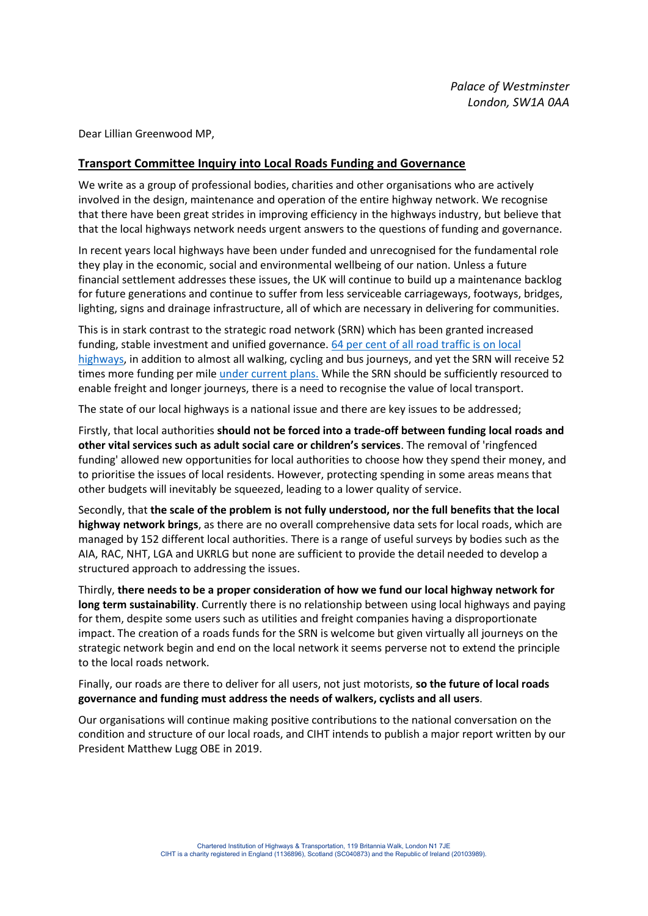Dear Lillian Greenwood MP,

## **Transport Committee Inquiry into Local Roads Funding and Governance**

We write as a group of professional bodies, charities and other organisations who are actively involved in the design, maintenance and operation of the entire highway network. We recognise that there have been great strides in improving efficiency in the highways industry, but believe that that the local highways network needs urgent answers to the questions of funding and governance.

In recent years local highways have been under funded and unrecognised for the fundamental role they play in the economic, social and environmental wellbeing of our nation. Unless a future financial settlement addresses these issues, the UK will continue to build up a maintenance backlog for future generations and continue to suffer from less serviceable carriageways, footways, bridges, lighting, signs and drainage infrastructure, all of which are necessary in delivering for communities.

This is in stark contrast to the strategic road network (SRN) which has been granted increased funding, stable investment and unified governance. 64 per cent [of all road traffic is on local](https://www.licencebureau.co.uk/wp-content/uploads/road-use-statistics.pdf)  [highways,](https://www.licencebureau.co.uk/wp-content/uploads/road-use-statistics.pdf) in addition to almost all walking, cycling and bus journeys, and yet the SRN will receive 52 times more funding per mil[e under current plans.](http://roadsafetygb.org.uk/news/end-the-disparity-between-national-and-local-roads-funding-lga/) While the SRN should be sufficiently resourced to enable freight and longer journeys, there is a need to recognise the value of local transport.

The state of our local highways is a national issue and there are key issues to be addressed;

Firstly, that local authorities **should not be forced into a trade-off between funding local roads and other vital services such as adult social care or children's services**. The removal of 'ringfenced funding' allowed new opportunities for local authorities to choose how they spend their money, and to prioritise the issues of local residents. However, protecting spending in some areas means that other budgets will inevitably be squeezed, leading to a lower quality of service.

Secondly, that **the scale of the problem is not fully understood, nor the full benefits that the local highway network brings**, as there are no overall comprehensive data sets for local roads, which are managed by 152 different local authorities. There is a range of useful surveys by bodies such as the AIA, RAC, NHT, LGA and UKRLG but none are sufficient to provide the detail needed to develop a structured approach to addressing the issues.

Thirdly, **there needs to be a proper consideration of how we fund our local highway network for long term sustainability**. Currently there is no relationship between using local highways and paying for them, despite some users such as utilities and freight companies having a disproportionate impact. The creation of a roads funds for the SRN is welcome but given virtually all journeys on the strategic network begin and end on the local network it seems perverse not to extend the principle to the local roads network.

Finally, our roads are there to deliver for all users, not just motorists, **so the future of local roads governance and funding must address the needs of walkers, cyclists and all users**.

Our organisations will continue making positive contributions to the national conversation on the condition and structure of our local roads, and CIHT intends to publish a major report written by our President Matthew Lugg OBE in 2019.